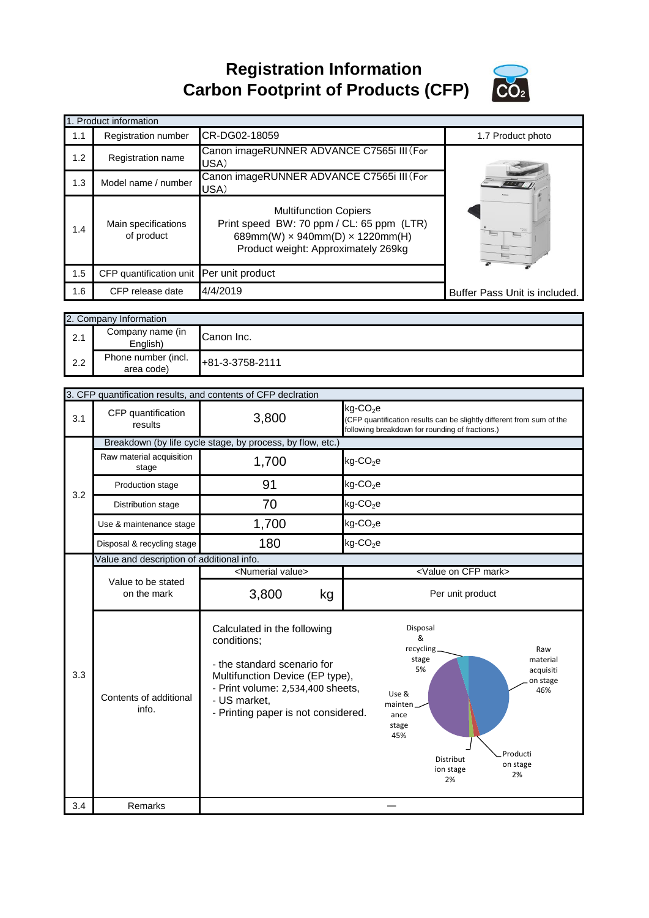**Registration Information Carbon Footprint of Products (CFP)**



|     | 1. Product information                   |                                                                                                                                                                   |                               |
|-----|------------------------------------------|-------------------------------------------------------------------------------------------------------------------------------------------------------------------|-------------------------------|
| 1.1 | <b>Registration number</b>               | CR-DG02-18059                                                                                                                                                     | 1.7 Product photo             |
| 1.2 | Registration name                        | Canon imageRUNNER ADVANCE C7565i III (For<br>USA)                                                                                                                 |                               |
| 1.3 | Model name / number                      | Canon imageRUNNER ADVANCE C7565i III (For<br>USA)                                                                                                                 |                               |
| 1.4 | Main specifications<br>of product        | <b>Multifunction Copiers</b><br>Print speed BW: 70 ppm / CL: 65 ppm (LTR)<br>689mm(W) $\times$ 940mm(D) $\times$ 1220mm(H)<br>Product weight: Approximately 269kg |                               |
| 1.5 | CFP quantification unit Per unit product |                                                                                                                                                                   |                               |
| 1.6 | CFP release date                         | 4/4/2019                                                                                                                                                          | Buffer Pass Unit is included. |

|     | 2. Company Information            |                 |  |
|-----|-----------------------------------|-----------------|--|
| 2.1 | Company name (in<br>English)      | Canon Inc.      |  |
| 2.2 | Phone number (incl.<br>area code) | +81-3-3758-2111 |  |

|     |                                           | 3. CFP quantification results, and contents of CFP declration                                                                                                                                            |                                                                                                                                                                                                                 |  |
|-----|-------------------------------------------|----------------------------------------------------------------------------------------------------------------------------------------------------------------------------------------------------------|-----------------------------------------------------------------------------------------------------------------------------------------------------------------------------------------------------------------|--|
| 3.1 | CFP quantification<br>results             | 3,800                                                                                                                                                                                                    | kg-CO <sub>2</sub> e<br>(CFP quantification results can be slightly different from sum of the<br>following breakdown for rounding of fractions.)                                                                |  |
|     |                                           | Breakdown (by life cycle stage, by process, by flow, etc.)                                                                                                                                               |                                                                                                                                                                                                                 |  |
|     | Raw material acquisition<br>stage         | 1,700                                                                                                                                                                                                    | $kg$ -CO <sub>2</sub> e                                                                                                                                                                                         |  |
| 3.2 | Production stage                          | 91                                                                                                                                                                                                       | $kg$ -CO <sub>2</sub> e                                                                                                                                                                                         |  |
|     | Distribution stage                        | 70                                                                                                                                                                                                       | $kg$ -CO <sub>2</sub> e                                                                                                                                                                                         |  |
|     | Use & maintenance stage                   | 1,700                                                                                                                                                                                                    | $kg$ -CO <sub>2</sub> e                                                                                                                                                                                         |  |
|     | Disposal & recycling stage                | 180                                                                                                                                                                                                      | $kg$ -CO <sub>2</sub> e                                                                                                                                                                                         |  |
|     | Value and description of additional info. |                                                                                                                                                                                                          |                                                                                                                                                                                                                 |  |
|     | Value to be stated                        | <numerial value=""></numerial>                                                                                                                                                                           | <value cfp="" mark="" on=""></value>                                                                                                                                                                            |  |
|     | on the mark                               | 3,800<br>kg                                                                                                                                                                                              | Per unit product                                                                                                                                                                                                |  |
| 3.3 | Contents of additional<br>info.           | Calculated in the following<br>conditions;<br>- the standard scenario for<br>Multifunction Device (EP type),<br>- Print volume: 2,534,400 sheets,<br>- US market,<br>- Printing paper is not considered. | Disposal<br>&<br>recycling_<br>Raw<br>stage<br>material<br>5%<br>acquisiti<br>on stage<br>46%<br>Use &<br>mainten.<br>ance<br>stage<br>45%<br>Producti<br><b>Distribut</b><br>on stage<br>ion stage<br>2%<br>2% |  |
| 3.4 | Remarks                                   |                                                                                                                                                                                                          |                                                                                                                                                                                                                 |  |